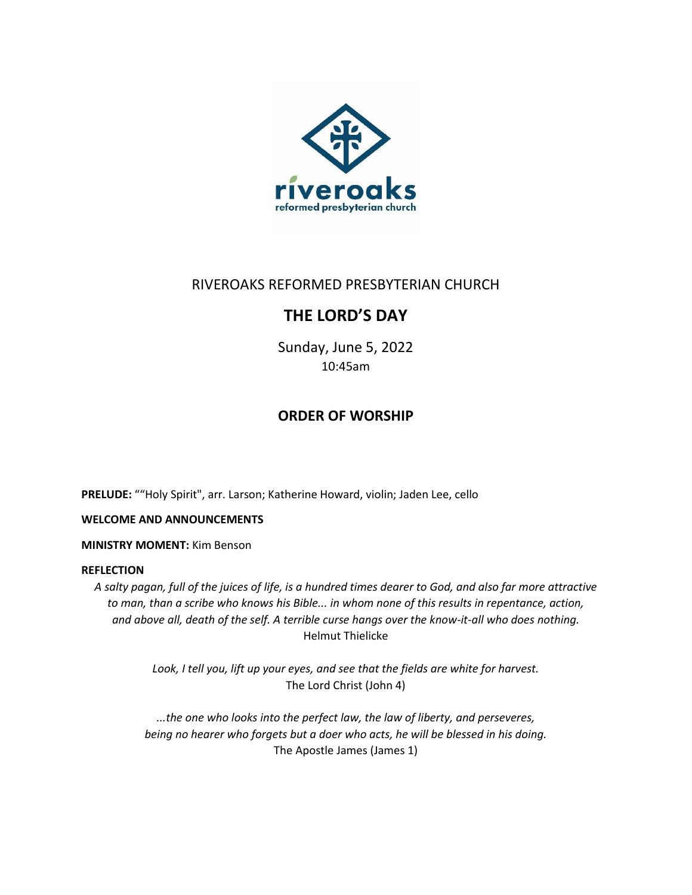

# RIVEROAKS REFORMED PRESBYTERIAN CHURCH

# **THE LORD'S DAY**

Sunday, June 5, 2022 10:45am

## **ORDER OF WORSHIP**

**PRELUDE:** ""Holy Spirit", arr. Larson; Katherine Howard, violin; Jaden Lee, cello

### **WELCOME AND ANNOUNCEMENTS**

### **MINISTRY MOMENT:** Kim Benson

### **REFLECTION**

*A salty pagan, full of the juices of life, is a hundred times dearer to God, and also far more attractive to man, than a scribe who knows his Bible... in whom none of this results in repentance, action, and above all, death of the self. A terrible curse hangs over the know-it-all who does nothing.* Helmut Thielicke

> *Look, I tell you, lift up your eyes, and see that the fields are white for harvest.* The Lord Christ (John 4)

*...the one who looks into the perfect law, the law of liberty, and perseveres, being no hearer who forgets but a doer who acts, he will be blessed in his doing.* The Apostle James (James 1)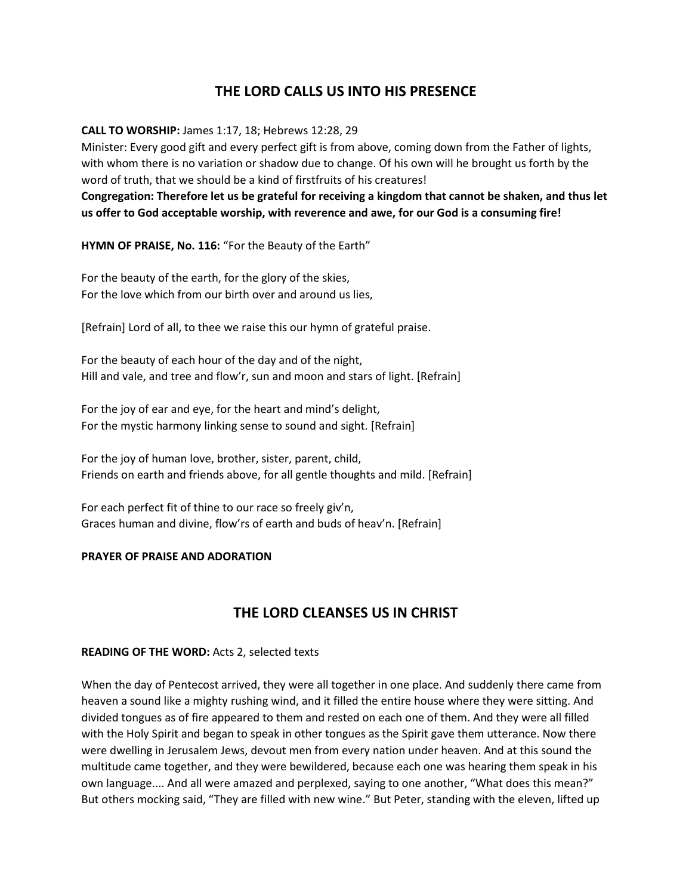## **THE LORD CALLS US INTO HIS PRESENCE**

**CALL TO WORSHIP:** James 1:17, 18; Hebrews 12:28, 29

Minister: Every good gift and every perfect gift is from above, coming down from the Father of lights, with whom there is no variation or shadow due to change. Of his own will he brought us forth by the word of truth, that we should be a kind of firstfruits of his creatures!

**Congregation: Therefore let us be grateful for receiving a kingdom that cannot be shaken, and thus let us offer to God acceptable worship, with reverence and awe, for our God is a consuming fire!**

**HYMN OF PRAISE, No. 116:** "For the Beauty of the Earth"

For the beauty of the earth, for the glory of the skies, For the love which from our birth over and around us lies,

[Refrain] Lord of all, to thee we raise this our hymn of grateful praise.

For the beauty of each hour of the day and of the night, Hill and vale, and tree and flow'r, sun and moon and stars of light. [Refrain]

For the joy of ear and eye, for the heart and mind's delight, For the mystic harmony linking sense to sound and sight. [Refrain]

For the joy of human love, brother, sister, parent, child, Friends on earth and friends above, for all gentle thoughts and mild. [Refrain]

For each perfect fit of thine to our race so freely giv'n, Graces human and divine, flow'rs of earth and buds of heav'n. [Refrain]

### **PRAYER OF PRAISE AND ADORATION**

## **THE LORD CLEANSES US IN CHRIST**

### **READING OF THE WORD:** Acts 2, selected texts

When the day of Pentecost arrived, they were all together in one place. And suddenly there came from heaven a sound like a mighty rushing wind, and it filled the entire house where they were sitting. And divided tongues as of fire appeared to them and rested on each one of them. And they were all filled with the Holy Spirit and began to speak in other tongues as the Spirit gave them utterance. Now there were dwelling in Jerusalem Jews, devout men from every nation under heaven. And at this sound the multitude came together, and they were bewildered, because each one was hearing them speak in his own language.... And all were amazed and perplexed, saying to one another, "What does this mean?" But others mocking said, "They are filled with new wine." But Peter, standing with the eleven, lifted up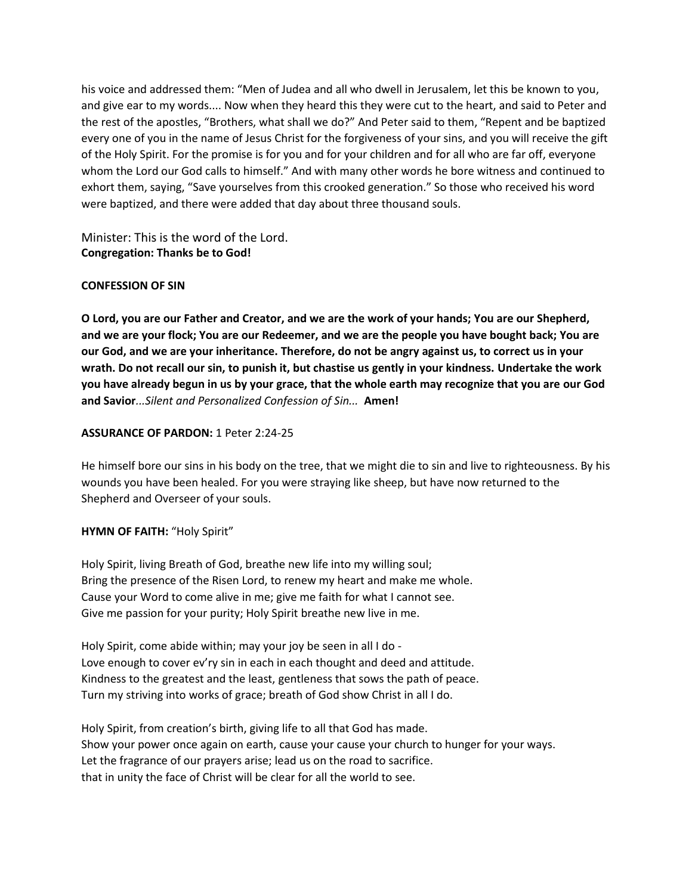his voice and addressed them: "Men of Judea and all who dwell in Jerusalem, let this be known to you, and give ear to my words.... Now when they heard this they were cut to the heart, and said to Peter and the rest of the apostles, "Brothers, what shall we do?" And Peter said to them, "Repent and be baptized every one of you in the name of Jesus Christ for the forgiveness of your sins, and you will receive the gift of the Holy Spirit. For the promise is for you and for your children and for all who are far off, everyone whom the Lord our God calls to himself." And with many other words he bore witness and continued to exhort them, saying, "Save yourselves from this crooked generation." So those who received his word were baptized, and there were added that day about three thousand souls.

Minister: This is the word of the Lord. **Congregation: Thanks be to God!**

### **CONFESSION OF SIN**

**O Lord, you are our Father and Creator, and we are the work of your hands; You are our Shepherd, and we are your flock; You are our Redeemer, and we are the people you have bought back; You are our God, and we are your inheritance. Therefore, do not be angry against us, to correct us in your wrath. Do not recall our sin, to punish it, but chastise us gently in your kindness. Undertake the work you have already begun in us by your grace, that the whole earth may recognize that you are our God and Savior***...Silent and Personalized Confession of Sin...* **Amen!**

### **ASSURANCE OF PARDON:** 1 Peter 2:24-25

He himself bore our sins in his body on the tree, that we might die to sin and live to righteousness. By his wounds you have been healed. For you were straying like sheep, but have now returned to the Shepherd and Overseer of your souls.

### **HYMN OF FAITH:** "Holy Spirit"

Holy Spirit, living Breath of God, breathe new life into my willing soul; Bring the presence of the Risen Lord, to renew my heart and make me whole. Cause your Word to come alive in me; give me faith for what I cannot see. Give me passion for your purity; Holy Spirit breathe new live in me.

Holy Spirit, come abide within; may your joy be seen in all I do - Love enough to cover ev'ry sin in each in each thought and deed and attitude. Kindness to the greatest and the least, gentleness that sows the path of peace. Turn my striving into works of grace; breath of God show Christ in all I do.

Holy Spirit, from creation's birth, giving life to all that God has made. Show your power once again on earth, cause your cause your church to hunger for your ways. Let the fragrance of our prayers arise; lead us on the road to sacrifice. that in unity the face of Christ will be clear for all the world to see.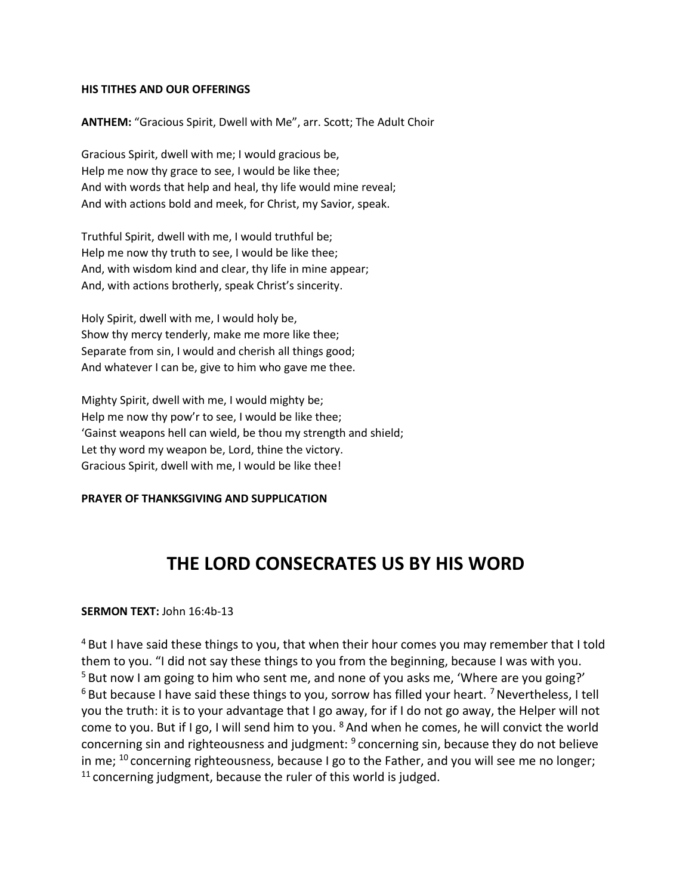### **HIS TITHES AND OUR OFFERINGS**

**ANTHEM:** "Gracious Spirit, Dwell with Me", arr. Scott; The Adult Choir

Gracious Spirit, dwell with me; I would gracious be, Help me now thy grace to see, I would be like thee; And with words that help and heal, thy life would mine reveal; And with actions bold and meek, for Christ, my Savior, speak.

Truthful Spirit, dwell with me, I would truthful be; Help me now thy truth to see, I would be like thee; And, with wisdom kind and clear, thy life in mine appear; And, with actions brotherly, speak Christ's sincerity.

Holy Spirit, dwell with me, I would holy be, Show thy mercy tenderly, make me more like thee; Separate from sin, I would and cherish all things good; And whatever I can be, give to him who gave me thee.

Mighty Spirit, dwell with me, I would mighty be; Help me now thy pow'r to see, I would be like thee; 'Gainst weapons hell can wield, be thou my strength and shield; Let thy word my weapon be, Lord, thine the victory. Gracious Spirit, dwell with me, I would be like thee!

#### **PRAYER OF THANKSGIVING AND SUPPLICATION**

# **THE LORD CONSECRATES US BY HIS WORD**

### **SERMON TEXT:** John 16:4b-13

 $4$  But I have said these things to you, that when their hour comes you may remember that I told them to you. "I did not say these things to you from the beginning, because I was with you.  $5$  But now I am going to him who sent me, and none of you asks me, 'Where are you going?'  $6$  But because I have said these things to you, sorrow has filled your heart.  $7$  Nevertheless, I tell you the truth: it is to your advantage that I go away, for if I do not go away, the Helper will not come to you. But if I go, I will send him to you. <sup>8</sup> And when he comes, he will convict the world concerning sin and righteousness and judgment: <sup>9</sup> concerning sin, because they do not believe in me;  $^{10}$  concerning righteousness, because I go to the Father, and you will see me no longer;  $11$  concerning judgment, because the ruler of this world is judged.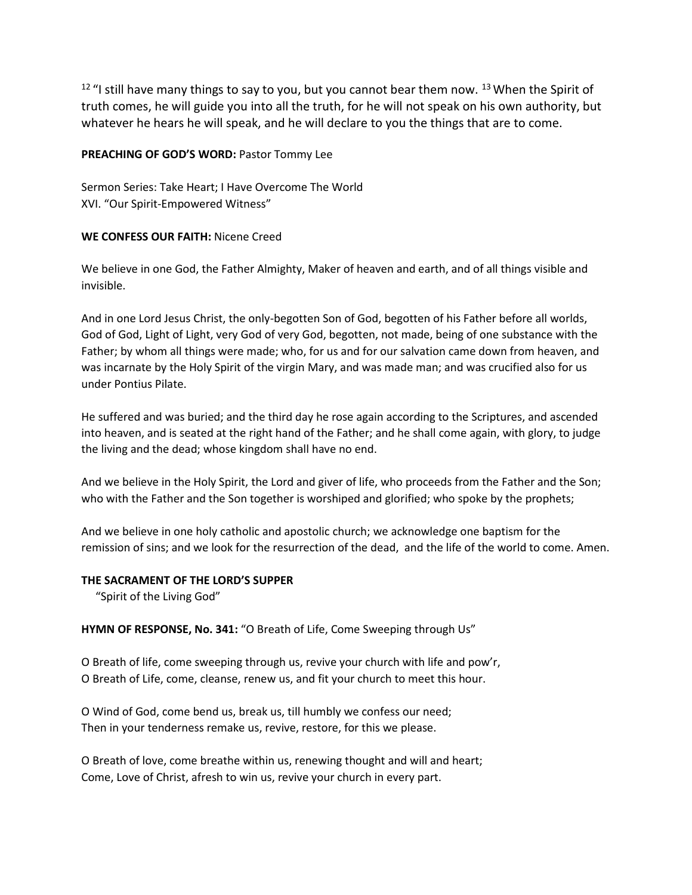$12$  "I still have many things to say to you, but you cannot bear them now.  $13$  When the Spirit of truth comes, he will guide you into all the truth, for he will not speak on his own authority, but whatever he hears he will speak, and he will declare to you the things that are to come.

### **PREACHING OF GOD'S WORD:** Pastor Tommy Lee

Sermon Series: Take Heart; I Have Overcome The World XVI. "Our Spirit-Empowered Witness"

### **WE CONFESS OUR FAITH:** Nicene Creed

We believe in one God, the Father Almighty, Maker of heaven and earth, and of all things visible and invisible.

And in one Lord Jesus Christ, the only-begotten Son of God, begotten of his Father before all worlds, God of God, Light of Light, very God of very God, begotten, not made, being of one substance with the Father; by whom all things were made; who, for us and for our salvation came down from heaven, and was incarnate by the Holy Spirit of the virgin Mary, and was made man; and was crucified also for us under Pontius Pilate.

He suffered and was buried; and the third day he rose again according to the Scriptures, and ascended into heaven, and is seated at the right hand of the Father; and he shall come again, with glory, to judge the living and the dead; whose kingdom shall have no end.

And we believe in the Holy Spirit, the Lord and giver of life, who proceeds from the Father and the Son; who with the Father and the Son together is worshiped and glorified; who spoke by the prophets;

And we believe in one holy catholic and apostolic church; we acknowledge one baptism for the remission of sins; and we look for the resurrection of the dead, and the life of the world to come. Amen.

#### **THE SACRAMENT OF THE LORD'S SUPPER**

"Spirit of the Living God"

### **HYMN OF RESPONSE, No. 341:** "O Breath of Life, Come Sweeping through Us"

O Breath of life, come sweeping through us, revive your church with life and pow'r, O Breath of Life, come, cleanse, renew us, and fit your church to meet this hour.

O Wind of God, come bend us, break us, till humbly we confess our need; Then in your tenderness remake us, revive, restore, for this we please.

O Breath of love, come breathe within us, renewing thought and will and heart; Come, Love of Christ, afresh to win us, revive your church in every part.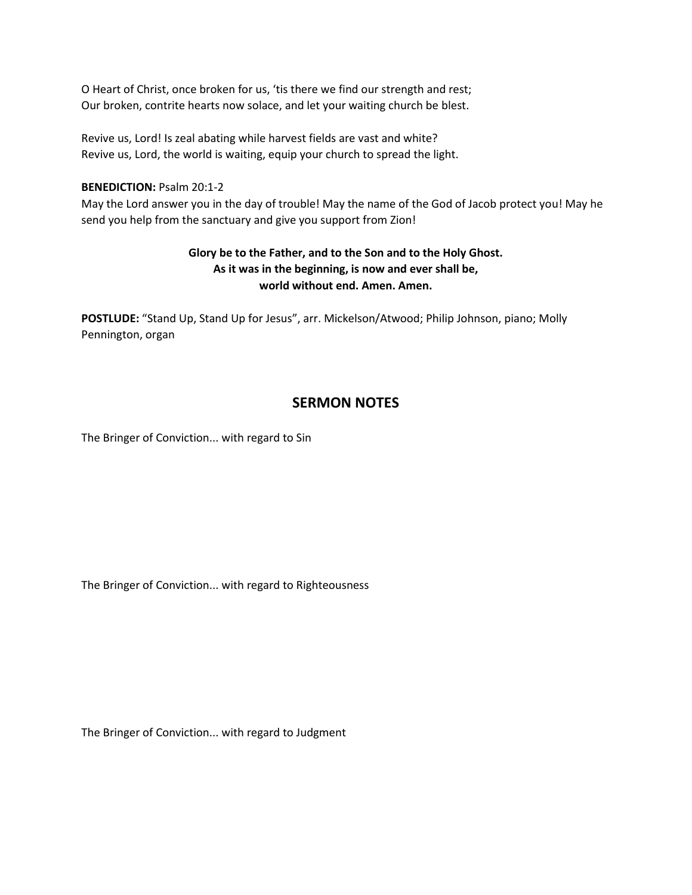O Heart of Christ, once broken for us, 'tis there we find our strength and rest; Our broken, contrite hearts now solace, and let your waiting church be blest.

Revive us, Lord! Is zeal abating while harvest fields are vast and white? Revive us, Lord, the world is waiting, equip your church to spread the light.

### **BENEDICTION: Psalm 20:1-2**

May the Lord answer you in the day of trouble! May the name of the God of Jacob protect you! May he send you help from the sanctuary and give you support from Zion!

## **Glory be to the Father, and to the Son and to the Holy Ghost. As it was in the beginning, is now and ever shall be, world without end. Amen. Amen.**

**POSTLUDE:** "Stand Up, Stand Up for Jesus", arr. Mickelson/Atwood; Philip Johnson, piano; Molly Pennington, organ

## **SERMON NOTES**

The Bringer of Conviction... with regard to Sin

The Bringer of Conviction... with regard to Righteousness

The Bringer of Conviction... with regard to Judgment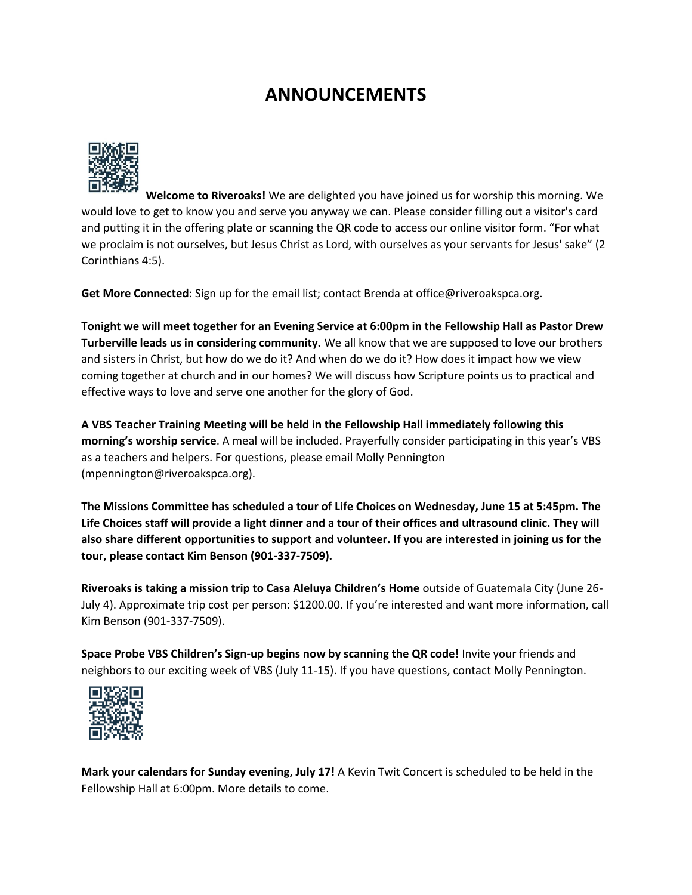# **ANNOUNCEMENTS**



**Welcome to Riveroaks!** We are delighted you have joined us for worship this morning. We would love to get to know you and serve you anyway we can. Please consider filling out a visitor's card and putting it in the offering plate or scanning the QR code to access our online visitor form. "For what we proclaim is not ourselves, but Jesus Christ as Lord, with ourselves as your servants for Jesus' sake" (2 Corinthians 4:5).

**Get More Connected**: Sign up for the email list; contact Brenda at office@riveroakspca.org.

**Tonight we will meet together for an Evening Service at 6:00pm in the Fellowship Hall as Pastor Drew Turberville leads us in considering community.** We all know that we are supposed to love our brothers and sisters in Christ, but how do we do it? And when do we do it? How does it impact how we view coming together at church and in our homes? We will discuss how Scripture points us to practical and effective ways to love and serve one another for the glory of God.

**A VBS Teacher Training Meeting will be held in the Fellowship Hall immediately following this morning's worship service**. A meal will be included. Prayerfully consider participating in this year's VBS as a teachers and helpers. For questions, please email Molly Pennington (mpennington@riveroakspca.org).

**The Missions Committee has scheduled a tour of Life Choices on Wednesday, June 15 at 5:45pm. The Life Choices staff will provide a light dinner and a tour of their offices and ultrasound clinic. They will also share different opportunities to support and volunteer. If you are interested in joining us for the tour, please contact Kim Benson (901-337-7509).**

**Riveroaks is taking a mission trip to Casa Aleluya Children's Home** outside of Guatemala City (June 26- July 4). Approximate trip cost per person: \$1200.00. If you're interested and want more information, call Kim Benson (901-337-7509).

**Space Probe VBS Children's Sign-up begins now by scanning the QR code!** Invite your friends and neighbors to our exciting week of VBS (July 11-15). If you have questions, contact Molly Pennington.



**Mark your calendars for Sunday evening, July 17!** A Kevin Twit Concert is scheduled to be held in the Fellowship Hall at 6:00pm. More details to come.